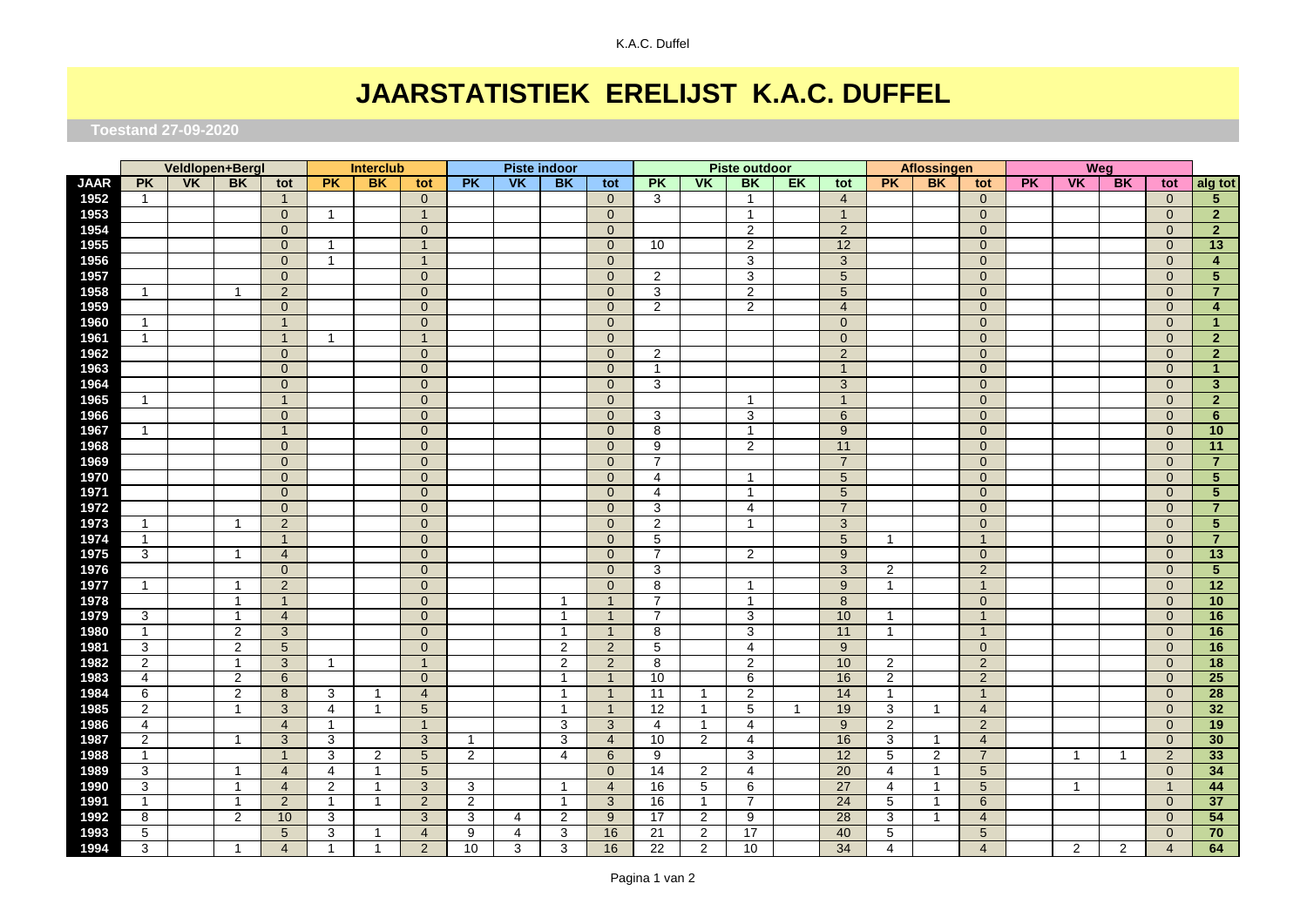## **JAARSTATISTIEK ERELIJST K.A.C. DUFFEL**

 **Toestand 27-09-2020**

|             | Veldlopen+Bergl         |                | <b>Interclub</b> |                | <b>Piste indoor</b> |              |                | <b>Piste outdoor</b> |                           |                |                | <b>Aflossingen</b> |                |                 | <b>Weg</b>   |                 |                |                         |                |           |                |                         |                |                         |
|-------------|-------------------------|----------------|------------------|----------------|---------------------|--------------|----------------|----------------------|---------------------------|----------------|----------------|--------------------|----------------|-----------------|--------------|-----------------|----------------|-------------------------|----------------|-----------|----------------|-------------------------|----------------|-------------------------|
| <b>JAAR</b> | <b>PK</b>               | V <sub>K</sub> | <b>BK</b>        | tot            | <b>PK</b>           | <b>BK</b>    | tot            | <b>PK</b>            | $\overline{\mathsf{V}}$ K | <b>BK</b>      | tot            | <b>PK</b>          | <b>VK</b>      | <b>BK</b>       | EK           | tot             | <b>PK</b>      | <b>BK</b>               | tot            | <b>PK</b> | <b>VK</b>      | BK                      | tot            | alg tot                 |
| 1952        | $\mathbf{1}$            |                |                  | $\mathbf{1}$   |                     |              | $\mathbf{0}$   |                      |                           |                | $\mathbf{0}$   | 3                  |                | $\mathbf{1}$    |              | $\overline{4}$  |                |                         | $\overline{0}$ |           |                |                         | $\overline{0}$ | 5 <sub>5</sub>          |
| 1953        |                         |                |                  | $\mathbf{0}$   | -1                  |              | $\mathbf{1}$   |                      |                           |                | $\mathbf{0}$   |                    |                | $\mathbf{1}$    |              | $\overline{1}$  |                |                         | $\mathbf{0}$   |           |                |                         | $\overline{0}$ | $\overline{2}$          |
| 1954        |                         |                |                  | $\mathbf{0}$   |                     |              | $\overline{0}$ |                      |                           |                | $\mathbf{0}$   |                    |                | 2               |              | $\overline{2}$  |                |                         | $\mathbf{0}$   |           |                |                         | $\overline{0}$ | $\overline{2}$          |
| 1955        |                         |                |                  | $\overline{0}$ | -1                  |              | $\mathbf{1}$   |                      |                           |                | $\overline{0}$ | 10                 |                | 2               |              | 12              |                |                         | $\mathbf{0}$   |           |                |                         | $\mathbf{0}$   | 13                      |
| 1956        |                         |                |                  | $\overline{0}$ | $\overline{1}$      |              | $\overline{1}$ |                      |                           |                | $\mathbf{0}$   |                    |                | 3               |              | 3               |                |                         | $\mathbf{0}$   |           |                |                         | $\mathbf{0}$   | $\overline{4}$          |
| 1957        |                         |                |                  | $\mathbf{0}$   |                     |              | $\overline{0}$ |                      |                           |                | $\mathbf{0}$   | 2                  |                | 3               |              | $5\overline{)}$ |                |                         | $\mathbf{0}$   |           |                |                         | $\overline{0}$ | $5\phantom{.0}$         |
| 1958        | $\mathbf{1}$            |                | $\mathbf 1$      | 2              |                     |              | $\overline{0}$ |                      |                           |                | $\mathbf{0}$   | 3                  |                | 2               |              | 5               |                |                         | $\overline{0}$ |           |                |                         | $\overline{0}$ | $\overline{7}$          |
| 1959        |                         |                |                  | $\overline{0}$ |                     |              | $\overline{0}$ |                      |                           |                | $\overline{0}$ | 2                  |                | 2               |              | $\overline{4}$  |                |                         | $\Omega$       |           |                |                         | $\Omega$       | $\overline{\mathbf{4}}$ |
| 1960        | $\mathbf{1}$            |                |                  | $\overline{1}$ |                     |              | $\overline{0}$ |                      |                           |                | $\overline{0}$ |                    |                |                 |              | $\mathbf{0}$    |                |                         | $\overline{0}$ |           |                |                         | $\overline{0}$ | $\mathbf{1}$            |
| 1961        | $\mathbf{1}$            |                |                  | $\mathbf{1}$   | $\mathbf{1}$        |              | $\overline{1}$ |                      |                           |                | $\mathbf{0}$   |                    |                |                 |              | $\overline{0}$  |                |                         | $\mathbf{0}$   |           |                |                         | $\mathbf{0}$   | $\overline{2}$          |
| 1962        |                         |                |                  | $\mathbf{0}$   |                     |              | $\overline{0}$ |                      |                           |                | $\overline{0}$ | 2                  |                |                 |              | $\overline{2}$  |                |                         | $\overline{0}$ |           |                |                         | $\overline{0}$ | $\overline{2}$          |
| 1963        |                         |                |                  | $\mathbf{0}$   |                     |              | $\mathbf 0$    |                      |                           |                | $\mathbf{0}$   | $\mathbf 1$        |                |                 |              | $\mathbf{1}$    |                |                         | $\mathbf{0}$   |           |                |                         | $\mathbf{0}$   | $\mathbf{1}$            |
| 1964        |                         |                |                  | $\mathbf{0}$   |                     |              | $\overline{0}$ |                      |                           |                | $\overline{0}$ | 3                  |                |                 |              | $\mathbf{3}$    |                |                         | $\overline{0}$ |           |                |                         | $\mathbf{0}$   | $\mathbf{3}$            |
| 1965        | $\mathbf{1}$            |                |                  | $\overline{1}$ |                     |              | $\overline{0}$ |                      |                           |                | $\overline{0}$ |                    |                | $\mathbf 1$     |              | $\mathbf{1}$    |                |                         | $\mathbf{0}$   |           |                |                         | $\overline{0}$ | $\overline{2}$          |
| 1966        |                         |                |                  | $\overline{0}$ |                     |              | $\overline{0}$ |                      |                           |                | $\overline{0}$ | 3                  |                | 3               |              | 6               |                |                         | $\mathbf{0}$   |           |                |                         | $\overline{0}$ | $6\phantom{1}$          |
| 1967        | $\mathbf{1}$            |                |                  | $\mathbf{1}$   |                     |              | $\mathbf{0}$   |                      |                           |                | $\overline{0}$ | 8                  |                | $\mathbf{1}$    |              | $9^{\circ}$     |                |                         | $\overline{0}$ |           |                |                         | $\mathbf{0}$   | 10                      |
| 1968        |                         |                |                  | $\Omega$       |                     |              | $\overline{0}$ |                      |                           |                | $\overline{0}$ | 9                  |                | 2               |              | 11              |                |                         | $\Omega$       |           |                |                         | $\overline{0}$ | 11                      |
| 1969        |                         |                |                  | $\overline{0}$ |                     |              | $\overline{0}$ |                      |                           |                | $\mathbf{0}$   | 7                  |                |                 |              | $\overline{7}$  |                |                         | $\mathbf{0}$   |           |                |                         | $\overline{0}$ | $\overline{7}$          |
| 1970        |                         |                |                  | $\overline{0}$ |                     |              | $\overline{0}$ |                      |                           |                | $\mathbf{0}$   | $\overline{4}$     |                | $\mathbf 1$     |              | 5               |                |                         | $\mathbf{0}$   |           |                |                         | $\overline{0}$ | $\overline{5}$          |
| 1971        |                         |                |                  | $\Omega$       |                     |              | $\Omega$       |                      |                           |                | $\overline{0}$ | $\overline{4}$     |                | $\mathbf{1}$    |              | 5               |                |                         | $\Omega$       |           |                |                         | $\overline{0}$ | $5\phantom{.0}$         |
| 1972        |                         |                |                  | $\overline{0}$ |                     |              | $\overline{0}$ |                      |                           |                | $\overline{0}$ | 3                  |                | $\overline{4}$  |              | $\overline{7}$  |                |                         | $\mathbf{0}$   |           |                |                         | $\overline{0}$ | $\overline{7}$          |
| 1973        | $\mathbf{1}$            |                | $\mathbf{1}$     | $\overline{2}$ |                     |              | $\overline{0}$ |                      |                           |                | $\mathbf{0}$   | 2                  |                | $\mathbf 1$     |              | 3               |                |                         | $\mathbf{0}$   |           |                |                         | $\overline{0}$ | $5\phantom{.0}$         |
| 1974        | $\mathbf{1}$            |                |                  | $\overline{1}$ |                     |              | $\mathbf 0$    |                      |                           |                | $\mathbf{0}$   | 5                  |                |                 |              | 5               | $\mathbf{1}$   |                         | $\mathbf{1}$   |           |                |                         | $\mathbf{0}$   | $\overline{7}$          |
| 1975        | 3                       |                | $\mathbf{1}$     | $\overline{4}$ |                     |              | $\overline{0}$ |                      |                           |                | $\mathbf{0}$   | 7                  |                | $\overline{2}$  |              | 9               |                |                         | $\mathbf{0}$   |           |                |                         | $\mathbf{0}$   | 13                      |
| 1976        |                         |                |                  | $\overline{0}$ |                     |              | $\overline{0}$ |                      |                           |                | $\mathbf{0}$   | 3                  |                |                 |              | 3               | 2              |                         | $\overline{2}$ |           |                |                         | $\overline{0}$ | $5\phantom{.0}$         |
| 1977        | $\mathbf{1}$            |                | $\overline{1}$   | $\overline{2}$ |                     |              | $\overline{0}$ |                      |                           |                | $\mathbf{0}$   | 8                  |                | $\mathbf{1}$    |              | 9               | $\mathbf{1}$   |                         | $\mathbf{1}$   |           |                |                         | $\overline{0}$ | 12                      |
| 1978        |                         |                | $\mathbf{1}$     | $\overline{1}$ |                     |              | $\overline{0}$ |                      |                           | $\overline{1}$ | $\overline{1}$ | 7                  |                | $\overline{1}$  |              | 8               |                |                         | $\mathbf{0}$   |           |                |                         | $\mathbf{0}$   | 10                      |
| 1979        | 3                       |                | $\mathbf{1}$     | $\overline{4}$ |                     |              | $\overline{0}$ |                      |                           | $\overline{1}$ | $\overline{1}$ | $\overline{7}$     |                | 3               |              | 10              | $\mathbf{1}$   |                         | $\overline{1}$ |           |                |                         | $\overline{0}$ | 16                      |
| 1980        | $\mathbf{1}$            |                | $\overline{2}$   | 3              |                     |              | $\overline{0}$ |                      |                           | $\overline{1}$ | $\overline{1}$ | 8                  |                | 3               |              | 11              | $\mathbf{1}$   |                         | $\overline{1}$ |           |                |                         | $\overline{0}$ | 16                      |
| 1981        | 3                       |                | $\overline{2}$   | 5              |                     |              | $\overline{0}$ |                      |                           | 2              | 2              | 5                  |                | $\overline{4}$  |              | 9               |                |                         | $\mathbf{0}$   |           |                |                         | $\overline{0}$ | 16                      |
| 1982        | $\overline{2}$          |                | $\mathbf{1}$     | 3              | -1                  |              | $\overline{1}$ |                      |                           | 2              | $\overline{2}$ | 8                  |                | 2               |              | 10              | $\overline{2}$ |                         | $\overline{2}$ |           |                |                         | $\overline{0}$ | 18                      |
| 1983        | $\overline{\mathbf{4}}$ |                | $\overline{c}$   | 6              |                     |              | $\Omega$       |                      |                           | $\overline{1}$ | $\overline{1}$ | 10                 |                | 6               |              | 16              | $\overline{2}$ |                         | $\sqrt{2}$     |           |                |                         | $\overline{0}$ | $\overline{25}$         |
| 1984        | 6                       |                | $\overline{c}$   | 8              | 3                   | -1           | $\overline{4}$ |                      |                           | $\overline{1}$ | $\overline{1}$ | 11                 | $\mathbf{1}$   | 2               |              | 14              | $\mathbf{1}$   |                         | $\mathbf{1}$   |           |                |                         | $\mathbf{0}$   | 28                      |
| 1985        | $\overline{2}$          |                | $\mathbf{1}$     | 3              | 4                   | $\mathbf{1}$ | 5              |                      |                           | $\overline{1}$ | $\overline{1}$ | $\overline{12}$    | $\overline{1}$ | 5               | $\mathbf{1}$ | 19              | 3              | $\mathbf{1}$            | $\overline{4}$ |           |                |                         | $\mathbf{0}$   | 32                      |
| 1986        | 4                       |                |                  | $\overline{4}$ | $\mathbf{1}$        |              | $\mathbf{1}$   |                      |                           | 3              | $\mathbf{3}$   | 4                  | $\overline{1}$ | 4               |              | 9               | $\overline{2}$ |                         | $\overline{2}$ |           |                |                         | $\overline{0}$ | 19                      |
| 1987        | $\overline{2}$          |                | $\mathbf{1}$     | 3              | 3                   |              | 3              | 1                    |                           | 3              | $\overline{4}$ | 10                 | 2              | 4               |              | 16              | 3              | -1                      | $\overline{4}$ |           |                |                         | $\mathbf{0}$   | 30                      |
| 1988        | $\mathbf{1}$            |                |                  | $\overline{1}$ | 3                   | 2            | 5              | $\overline{2}$       |                           | 4              | 6              | 9                  |                | 3               |              | 12              | 5              | 2                       | $\overline{7}$ |           | $\mathbf{1}$   | $\overline{\mathbf{1}}$ | $\overline{2}$ | 33                      |
| 1989        | 3                       |                | $\overline{1}$   | $\overline{4}$ | 4                   | $\mathbf{1}$ | 5              |                      |                           |                | $\mathbf{0}$   | 14                 | $\overline{2}$ | $\overline{4}$  |              | 20              | $\overline{4}$ | $\mathbf{1}$            | 5              |           |                |                         | $\overline{0}$ | 34                      |
| 1990        | 3                       |                | $\mathbf{1}$     | $\overline{4}$ | $\overline{2}$      | $\mathbf{1}$ | 3              | 3                    |                           | -1             | $\overline{4}$ | 16                 | 5              | 6               |              | 27              | 4              | $\mathbf{1}$            | 5              |           | $\mathbf{1}$   |                         | $\overline{1}$ | 44                      |
| 1991        | $\mathbf{1}$            |                | $\mathbf{1}$     | 2              | $\mathbf{1}$        | $\mathbf 1$  | $\overline{2}$ | $\overline{2}$       |                           | -1             | 3              | 16                 | $\mathbf{1}$   | 7               |              | $\overline{24}$ | 5              | $\overline{\mathbf{1}}$ | 6              |           |                |                         | $\Omega$       | $\overline{37}$         |
| 1992        | 8                       |                | $\overline{2}$   | 10             | 3                   |              | 3              | 3                    | 4                         | $\overline{2}$ | 9              | 17                 | $\overline{2}$ | 9               |              | 28              | 3              | $\mathbf{1}$            | $\overline{4}$ |           |                |                         | $\overline{0}$ | 54                      |
| 1993        | 5                       |                |                  | 5              | 3                   | $\mathbf{1}$ | $\overline{4}$ | 9                    | 4                         | 3              | 16             | 21                 | 2              | $\overline{17}$ |              | 40              | 5              |                         | 5              |           |                |                         | $\overline{0}$ | 70                      |
| 1994        | 3                       |                | $\overline{1}$   | $\overline{A}$ | $\mathbf{1}$        | $\mathbf 1$  | $\overline{2}$ | 10                   | 3                         | 3              | 16             | $\overline{22}$    | $\overline{2}$ | $\overline{10}$ |              | $\overline{34}$ | 4              |                         | $\overline{4}$ |           | $\overline{2}$ | 2                       | $\overline{4}$ | 64                      |